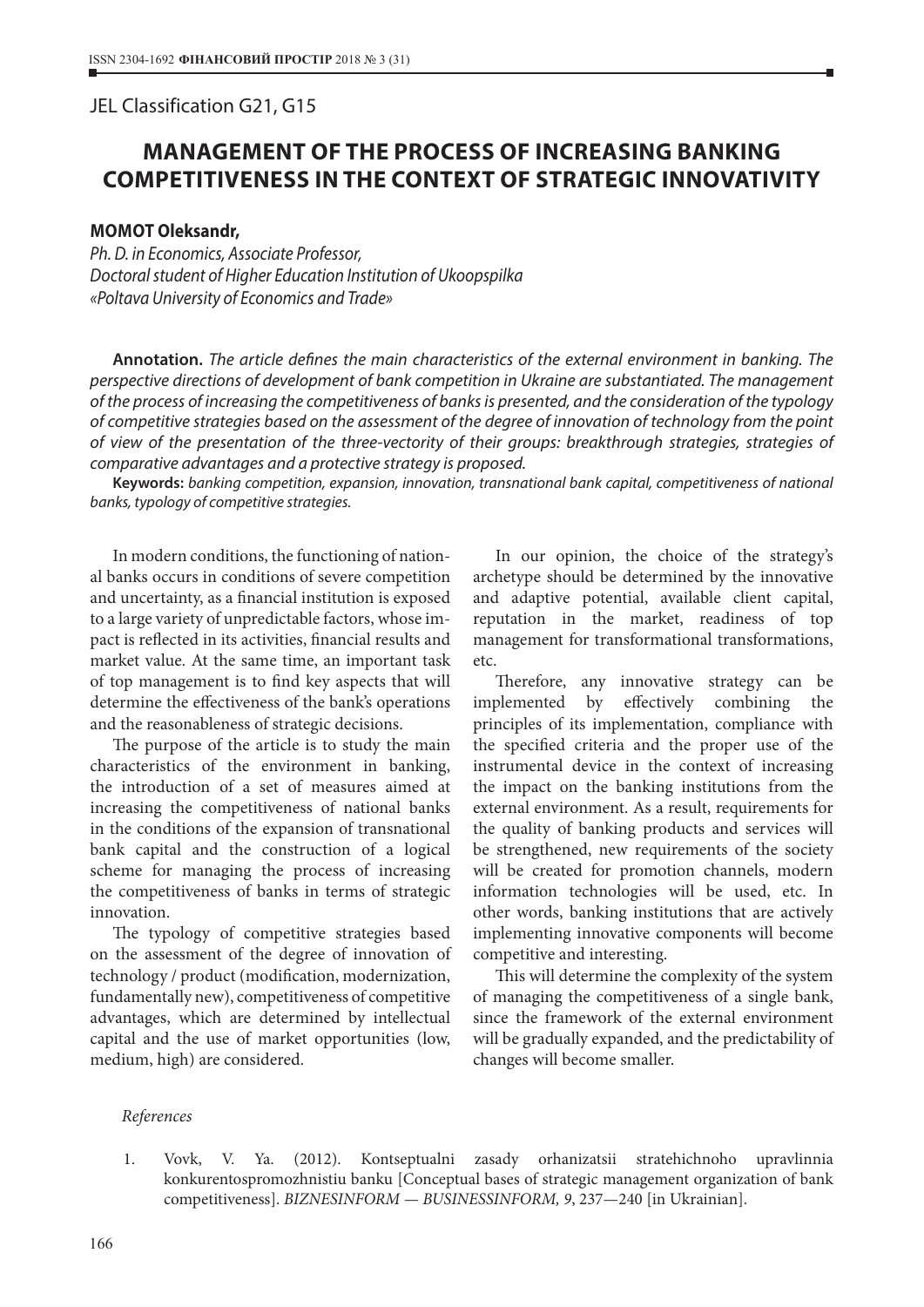## JEL Classіfіcatіon G21, G15

## **MANAGEMENT OF THE PROCESS OF INCREASING BANKING COMPETITIVENESS IN THE CONTEXT OF STRATEGIC INNOVATIVITY**

## **MOMOT Oleksandr,**

*Ph. D. in Economics, Associate Professor, Doctoral student of Higher Education Institution of Ukoopspilka «Poltava University of Economics and Trade»*

**Annotation.** *The article defines the main characteristics of the external environment in banking. The perspective directions of development of bank competition in Ukraine are substantiated. The management of the process of increasing the competitiveness of banks is presented, and the consideration of the typology of competitive strategies based on the assessment of the degree of innovation of technology from the point of view of the presentation of the three-vectority of their groups: breakthrough strategies, strategies of comparative advantages and a protective strategy is proposed.*

**Keywords:** *banking competition, expansion, innovation, transnational bank capital, competitiveness of national banks, typology of competitive strategies.*

In modern conditions, the functioning of national banks occurs in conditions of severe competition and uncertainty, as a financial institution is exposed to a large variety of unpredictable factors, whose impact is reflected in its activities, financial results and market value. At the same time, an important task of top management is to find key aspects that will determine the effectiveness of the bank's operations and the reasonableness of strategic decisions.

The purpose of the article is to study the main characteristics of the environment in banking, the introduction of a set of measures aimed at increasing the competitiveness of national banks in the conditions of the expansion of transnational bank capital and the construction of a logical scheme for managing the process of increasing the competitiveness of banks in terms of strategic innovation.

The typology of competitive strategies based on the assessment of the degree of innovation of technology / product (modification, modernization, fundamentally new), competitiveness of competitive advantages, which are determined by intellectual capital and the use of market opportunities (low, medium, high) are considered.

In our opinion, the choice of the strategy's archetype should be determined by the innovative and adaptive potential, available client capital, reputation in the market, readiness of top management for transformational transformations, etc.

Therefore, any innovative strategy can be implemented by effectively combining the principles of its implementation, compliance with the specified criteria and the proper use of the instrumental device in the context of increasing the impact on the banking institutions from the external environment. As a result, requirements for the quality of banking products and services will be strengthened, new requirements of the society will be created for promotion channels, modern information technologies will be used, etc. In other words, banking institutions that are actively implementing innovative components will become competitive and interesting.

This will determine the complexity of the system of managing the competitiveness of a single bank, since the framework of the external environment will be gradually expanded, and the predictability of changes will become smaller.

## *References*

1. Vovk, V. Ya. (2012). Kontseptualni zasady orhanizatsii stratehichnoho upravlinnia konkurentospromozhnistiu banku [Conceptual bases of strategic management organization of bank competitiveness]. *BIZNESINFORM — BUSINESSINFORM, 9*, 237—240 [in Ukrainian].